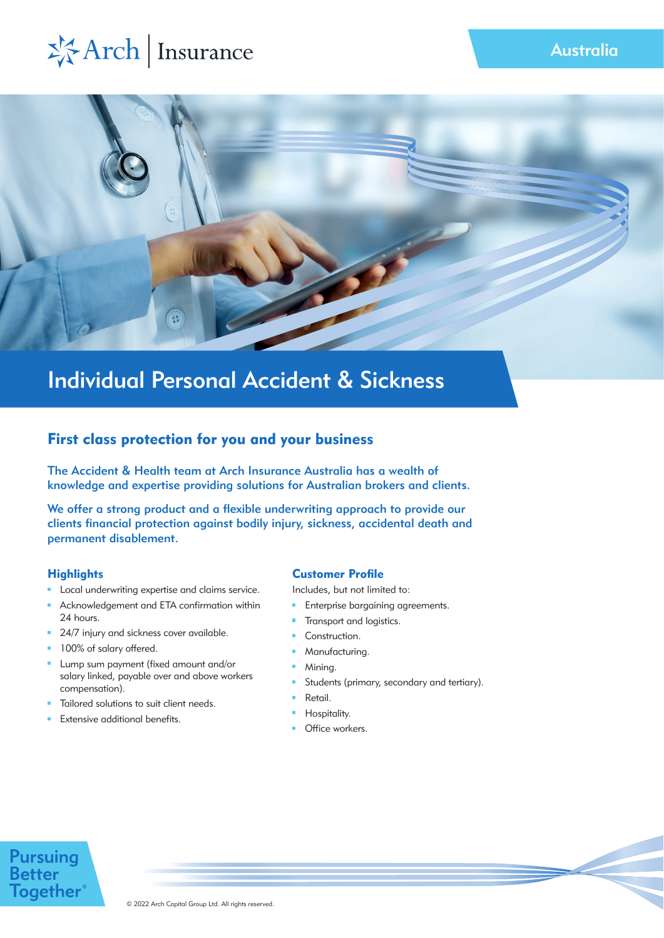



# Individual Personal Accident & Sickness

# First class protection for you and your business

The Accident & Health team at Arch Insurance Australia has a wealth of knowledge and expertise providing solutions for Australian brokers and clients.

We offer a strong product and a flexible underwriting approach to provide our clients financial protection against bodily injury, sickness, accidental death and permanent disablement.

# **Highlights**

- **Local underwriting expertise and claims service.**
- Acknowledgement and ETA confirmation within 24 hours.
- 24/7 injury and sickness cover available.
- **100% of salary offered.**
- **Lump sum payment (fixed amount and/or** salary linked, payable over and above workers compensation).
- Tailored solutions to suit client needs.
- Extensive additional benefits.

# Customer Profile

Includes, but not limited to:

- $\mathbf{u}$ Enterprise bargaining agreements.
- Transport and logistics.  $\mathbf{m}$  .
- **Construction.**
- **Manufacturing.**
- **Mining.**
- $\mathbf{u}$ Students (primary, secondary and tertiary).
- Retail.
- Hospitality.
- Office workers.

# **Pursuing**<br>Better **Together**